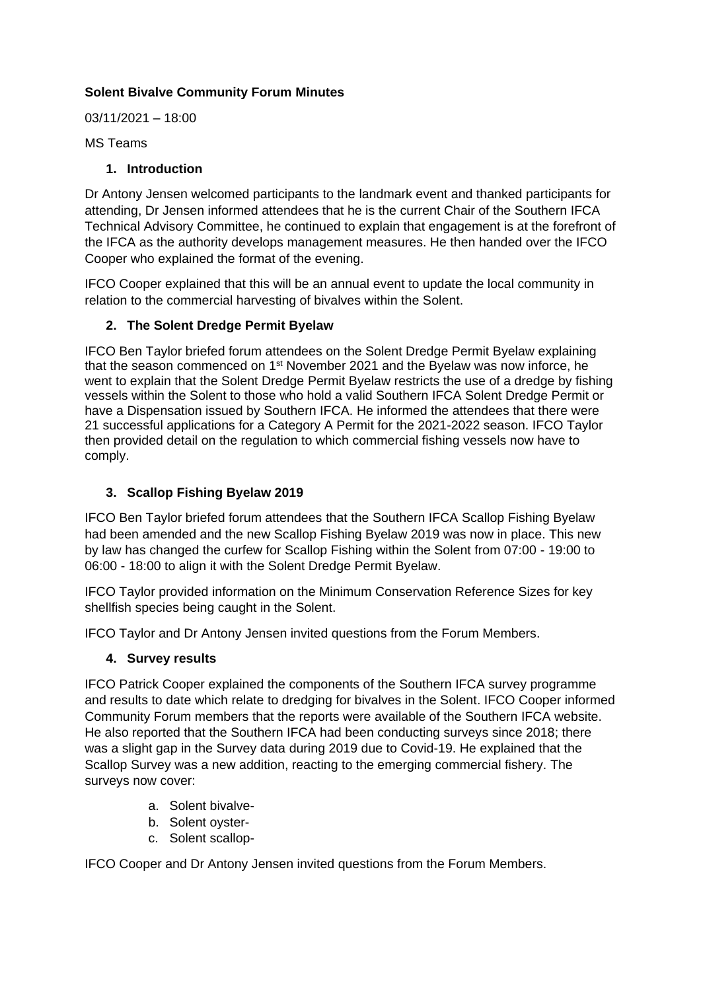# **Solent Bivalve Community Forum Minutes**

03/11/2021 – 18:00

MS Teams

#### **1. Introduction**

Dr Antony Jensen welcomed participants to the landmark event and thanked participants for attending, Dr Jensen informed attendees that he is the current Chair of the Southern IFCA Technical Advisory Committee, he continued to explain that engagement is at the forefront of the IFCA as the authority develops management measures. He then handed over the IFCO Cooper who explained the format of the evening.

IFCO Cooper explained that this will be an annual event to update the local community in relation to the commercial harvesting of bivalves within the Solent.

### **2. The Solent Dredge Permit Byelaw**

IFCO Ben Taylor briefed forum attendees on the Solent Dredge Permit Byelaw explaining that the season commenced on 1<sup>st</sup> November 2021 and the Byelaw was now inforce, he went to explain that the Solent Dredge Permit Byelaw restricts the use of a dredge by fishing vessels within the Solent to those who hold a valid Southern IFCA Solent Dredge Permit or have a Dispensation issued by Southern IFCA. He informed the attendees that there were 21 successful applications for a Category A Permit for the 2021-2022 season. IFCO Taylor then provided detail on the regulation to which commercial fishing vessels now have to comply.

# **3. Scallop Fishing Byelaw 2019**

IFCO Ben Taylor briefed forum attendees that the Southern IFCA Scallop Fishing Byelaw had been amended and the new Scallop Fishing Byelaw 2019 was now in place. This new by law has changed the curfew for Scallop Fishing within the Solent from 07:00 - 19:00 to 06:00 - 18:00 to align it with the Solent Dredge Permit Byelaw.

IFCO Taylor provided information on the Minimum Conservation Reference Sizes for key shellfish species being caught in the Solent.

IFCO Taylor and Dr Antony Jensen invited questions from the Forum Members.

#### **4. Survey results**

IFCO Patrick Cooper explained the components of the Southern IFCA survey programme and results to date which relate to dredging for bivalves in the Solent. IFCO Cooper informed Community Forum members that the reports were available of the Southern IFCA website. He also reported that the Southern IFCA had been conducting surveys since 2018; there was a slight gap in the Survey data during 2019 due to Covid-19. He explained that the Scallop Survey was a new addition, reacting to the emerging commercial fishery. The surveys now cover:

- a. Solent bivalve-
- b. Solent oyster-
- c. Solent scallop-

IFCO Cooper and Dr Antony Jensen invited questions from the Forum Members.